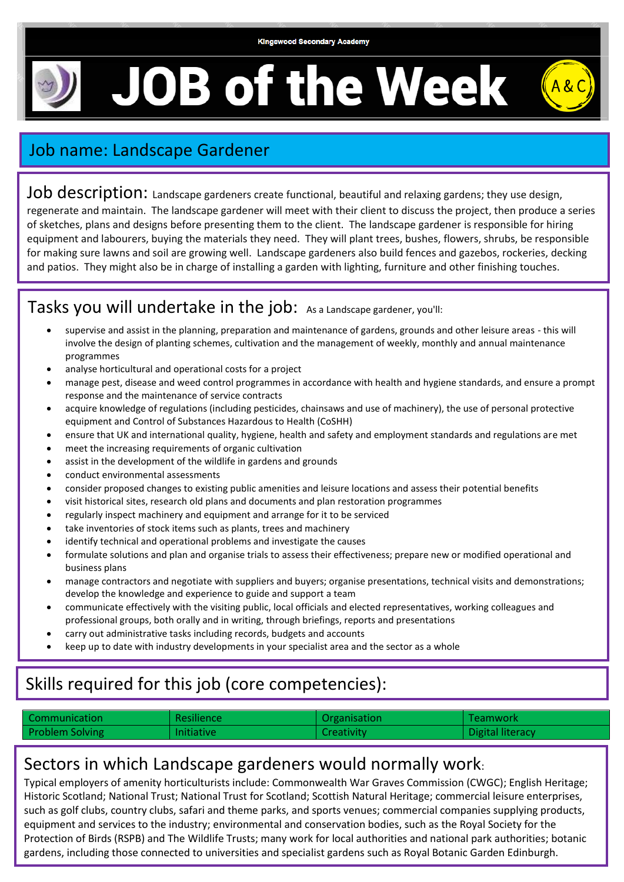# **JOB of the Week**



## Job name: Landscape Gardener

Job description: Landscape gardeners create functional, beautiful and relaxing gardens; they use design, regenerate and maintain. The landscape gardener will meet with their client to discuss the project, then produce a series of sketches, plans and designs before presenting them to the client. The landscape gardener is responsible for hiring equipment and labourers, buying the materials they need. They will plant trees, bushes, flowers, shrubs, be responsible for making sure lawns and soil are growing well. Landscape gardeners also build fences and gazebos, rockeries, decking and patios. They might also be in charge of installing a garden with lighting, furniture and other finishing touches.

#### Tasks you will undertake in the job: As a Landscape gardener, you'll:

- supervise and assist in the planning, preparation and maintenance of gardens, grounds and other leisure areas this will involve the design of planting schemes, cultivation and the management of weekly, monthly and annual maintenance programmes
- analyse horticultural and operational costs for a project
- manage pest, disease and weed control programmes in accordance with health and hygiene standards, and ensure a prompt response and the maintenance of service contracts
- acquire knowledge of regulations (including pesticides, chainsaws and use of machinery), the use of personal protective equipment and Control of Substances Hazardous to Health (CoSHH)
- ensure that UK and international quality, hygiene, health and safety and employment standards and regulations are met
- meet the increasing requirements of organic cultivation
- assist in the development of the wildlife in gardens and grounds
- conduct environmental assessments
- consider proposed changes to existing public amenities and leisure locations and assess their potential benefits
- visit historical sites, research old plans and documents and plan restoration programmes
- regularly inspect machinery and equipment and arrange for it to be serviced
- take inventories of stock items such as plants, trees and machinery
- identify technical and operational problems and investigate the causes
- formulate solutions and plan and organise trials to assess their effectiveness; prepare new or modified operational and business plans
- manage contractors and negotiate with suppliers and buyers; organise presentations, technical visits and demonstrations; develop the knowledge and experience to guide and support a team
- communicate effectively with the visiting public, local officials and elected representatives, working colleagues and professional groups, both orally and in writing, through briefings, reports and presentations
- carry out administrative tasks including records, budgets and accounts
- keep up to date with industry developments in your specialist area and the sector as a whole

## Skills required for this job (core competencies):

| Communication          | <b>Resilience</b> | Organisation | Teamwork         |
|------------------------|-------------------|--------------|------------------|
| <b>Problem Solving</b> | Initiative        | Creativity   | Digital literacy |

#### Sectors in which Landscape gardeners would normally work:

Typical employers of amenity horticulturists include: Commonwealth War Graves Commission (CWGC); English Heritage; Historic Scotland; National Trust; National Trust for Scotland; Scottish Natural Heritage; commercial leisure enterprises, such as golf clubs, country clubs, safari and theme parks, and sports venues; commercial companies supplying products, equipment and services to the industry; environmental and conservation bodies, such as the Royal Society for the Protection of Birds (RSPB) and The Wildlife Trusts; many work for local authorities and national park authorities; botanic gardens, including those connected to universities and specialist gardens such as Royal Botanic Garden Edinburgh.